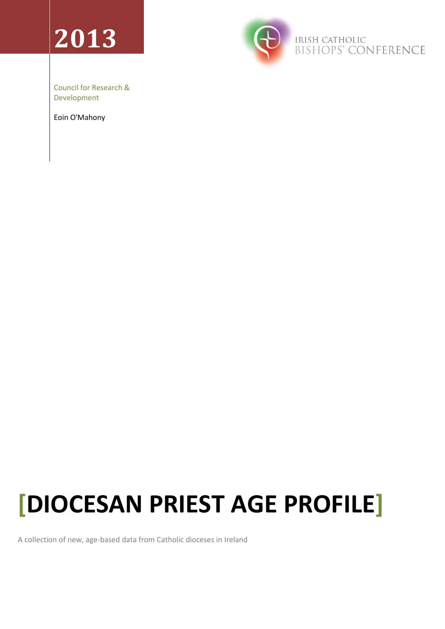# **2013**



Council for Research & Development

Eoin O'Mahony

## **[DIOCESAN PRIEST AGE PROFILE]**

A collection of new, age-based data from Catholic dioceses in Ireland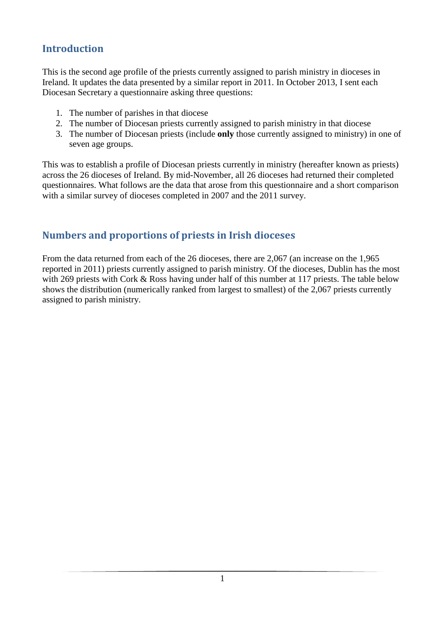#### **Introduction**

This is the second age profile of the priests currently assigned to parish ministry in dioceses in Ireland. It updates the data presented by a similar report in 2011. In October 2013, I sent each Diocesan Secretary a questionnaire asking three questions:

- 1. The number of parishes in that diocese
- 2. The number of Diocesan priests currently assigned to parish ministry in that diocese
- 3. The number of Diocesan priests (include **only** those currently assigned to ministry) in one of seven age groups.

This was to establish a profile of Diocesan priests currently in ministry (hereafter known as priests) across the 26 dioceses of Ireland. By mid-November, all 26 dioceses had returned their completed questionnaires. What follows are the data that arose from this questionnaire and a short comparison with a similar survey of dioceses completed in 2007 and the 2011 survey.

### **Numbers and proportions of priests in Irish dioceses**

From the data returned from each of the 26 dioceses, there are 2,067 (an increase on the 1,965 reported in 2011) priests currently assigned to parish ministry. Of the dioceses, Dublin has the most with 269 priests with Cork & Ross having under half of this number at 117 priests. The table below shows the distribution (numerically ranked from largest to smallest) of the 2,067 priests currently assigned to parish ministry.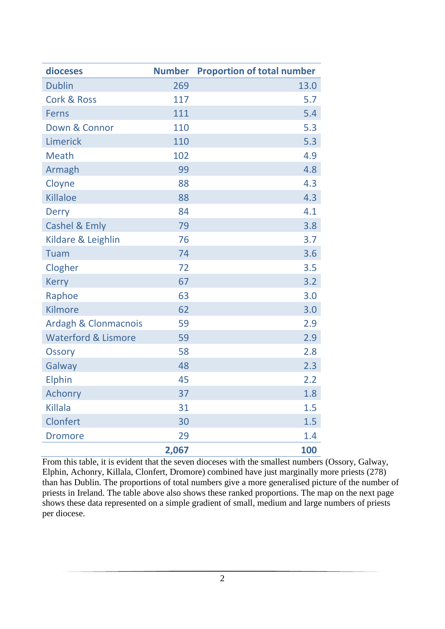| dioceses                        | <b>Number</b> | <b>Proportion of total number</b> |  |
|---------------------------------|---------------|-----------------------------------|--|
| <b>Dublin</b>                   | 269           | 13.0                              |  |
| <b>Cork &amp; Ross</b>          | 117           | 5.7                               |  |
| <b>Ferns</b>                    | 111           | 5.4                               |  |
| Down & Connor                   | 110           | 5.3                               |  |
| Limerick                        | 110           | 5.3                               |  |
| <b>Meath</b>                    | 102           | 4.9                               |  |
| Armagh                          | 99            | 4.8                               |  |
| Cloyne                          | 88            | 4.3                               |  |
| <b>Killaloe</b>                 | 88            | 4.3                               |  |
| <b>Derry</b>                    | 84            | 4.1                               |  |
| <b>Cashel &amp; Emly</b>        | 79            | 3.8                               |  |
| Kildare & Leighlin              | 76            | 3.7                               |  |
| Tuam                            | 74            | 3.6                               |  |
| Clogher                         | 72            | 3.5                               |  |
| <b>Kerry</b>                    | 67            | 3.2                               |  |
| Raphoe                          | 63            | 3.0                               |  |
| <b>Kilmore</b>                  | 62            | 3.0                               |  |
| <b>Ardagh &amp; Clonmacnois</b> | 59            | 2.9                               |  |
| <b>Waterford &amp; Lismore</b>  | 59            | 2.9                               |  |
| <b>Ossory</b>                   | 58            | 2.8                               |  |
| Galway                          | 48            | 2.3                               |  |
| Elphin                          | 45            | 2.2                               |  |
| <b>Achonry</b>                  | 37            | 1.8                               |  |
| <b>Killala</b>                  | 31            | 1.5                               |  |
| Clonfert                        | 30            | 1.5                               |  |
| <b>Dromore</b>                  | 29            | 1.4                               |  |
|                                 | 2,067         | 100                               |  |

From this table, it is evident that the seven dioceses with the smallest numbers (Ossory, Galway, Elphin, Achonry, Killala, Clonfert, Dromore) combined have just marginally more priests (278) than has Dublin. The proportions of total numbers give a more generalised picture of the number of priests in Ireland. The table above also shows these ranked proportions. The map on the next page shows these data represented on a simple gradient of small, medium and large numbers of priests per diocese.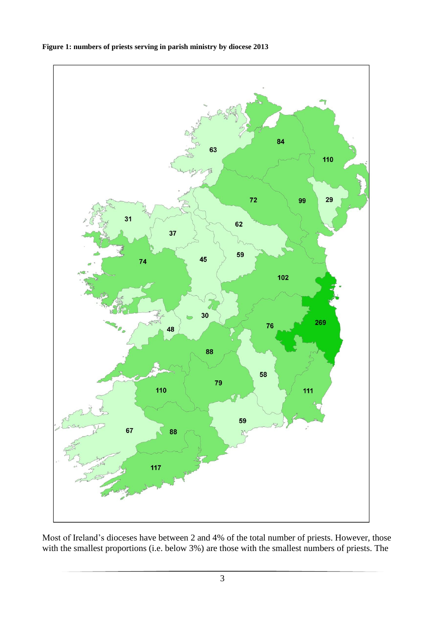

#### **Figure 1: numbers of priests serving in parish ministry by diocese 2013**

Most of Ireland's dioceses have between 2 and 4% of the total number of priests. However, those with the smallest proportions (i.e. below 3%) are those with the smallest numbers of priests. The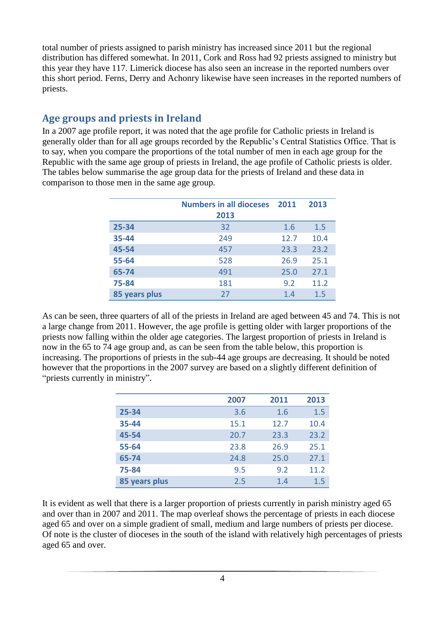total number of priests assigned to parish ministry has increased since 2011 but the regional distribution has differed somewhat. In 2011, Cork and Ross had 92 priests assigned to ministry but this year they have 117. Limerick diocese has also seen an increase in the reported numbers over this short period. Ferns, Derry and Achonry likewise have seen increases in the reported numbers of priests.

#### **Age groups and priests in Ireland**

In a 2007 age profile report, it was noted that the age profile for Catholic priests in Ireland is generally older than for all age groups recorded by the Republic's Central Statistics Office. That is to say, when you compare the proportions of the total number of men in each age group for the Republic with the same age group of priests in Ireland, the age profile of Catholic priests is older. The tables below summarise the age group data for the priests of Ireland and these data in comparison to those men in the same age group.

|               | <b>Numbers in all dioceses</b> 2011 |      | 2013 |
|---------------|-------------------------------------|------|------|
|               | 2013                                |      |      |
| 25-34         | 32                                  | 1.6  | 1.5  |
| 35-44         | 249                                 | 12.7 | 10.4 |
| 45-54         | 457                                 | 23.3 | 23.2 |
| 55-64         | 528                                 | 26.9 | 25.1 |
| 65-74         | 491                                 | 25.0 | 27.1 |
| 75-84         | 181                                 | 9.2  | 11.2 |
| 85 years plus | 27                                  | 1.4  | 1.5  |

As can be seen, three quarters of all of the priests in Ireland are aged between 45 and 74. This is not a large change from 2011. However, the age profile is getting older with larger proportions of the priests now falling within the older age categories. The largest proportion of priests in Ireland is now in the 65 to 74 age group and, as can be seen from the table below, this proportion is increasing. The proportions of priests in the sub-44 age groups are decreasing. It should be noted however that the proportions in the 2007 survey are based on a slightly different definition of "priests currently in ministry".

|               | 2007 | 2011 | 2013 |
|---------------|------|------|------|
| 25-34         | 3.6  | 1.6  | 1.5  |
| 35-44         | 15.1 | 12.7 | 10.4 |
| 45-54         | 20.7 | 23.3 | 23.2 |
| 55-64         | 23.8 | 26.9 | 25.1 |
| 65-74         | 24.8 | 25.0 | 27.1 |
| 75-84         | 9.5  | 9.2  | 11.2 |
| 85 years plus | 2.5  | 1.4  | 1.5  |

It is evident as well that there is a larger proportion of priests currently in parish ministry aged 65 and over than in 2007 and 2011. The map overleaf shows the percentage of priests in each diocese aged 65 and over on a simple gradient of small, medium and large numbers of priests per diocese. Of note is the cluster of dioceses in the south of the island with relatively high percentages of priests aged 65 and over.